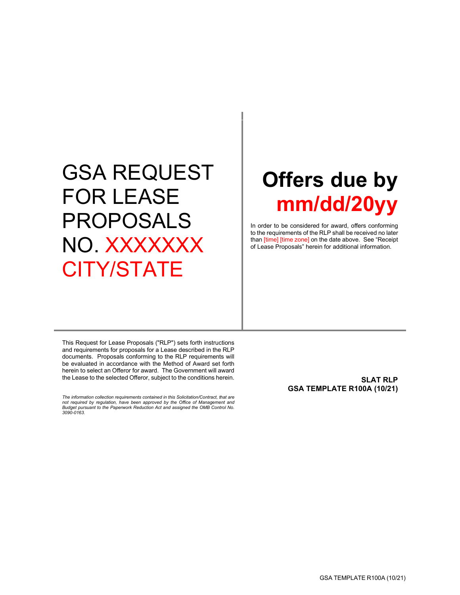# GSA REQUEST FOR LEASE PROPOSALS NO. XXXXXXX CITY/STATE

# **Offers due by mm/dd/20yy**

In order to be considered for award, offers conforming to the requirements of the RLP shall be received no later than [time] [time zone] on the date above. See "Receipt of Lease Proposals" herein for additional information.

This Request for Lease Proposals ("RLP") sets forth instructions and requirements for proposals for a Lease described in the RLP documents. Proposals conforming to the RLP requirements will be evaluated in accordance with the Method of Award set forth herein to select an Offeror for award. The Government will award the Lease to the selected Offeror, subject to the conditions herein.

*The information collection requirements contained in this Solicitation/Contract, that are not required by regulation, have been approved by the Office of Management and Budget pursuant to the Paperwork Reduction Act and assigned the OMB Control No. 3090-0163.*

<span id="page-0-0"></span>**SLAT RLP GSA TEMPLATE R100A (10/21)**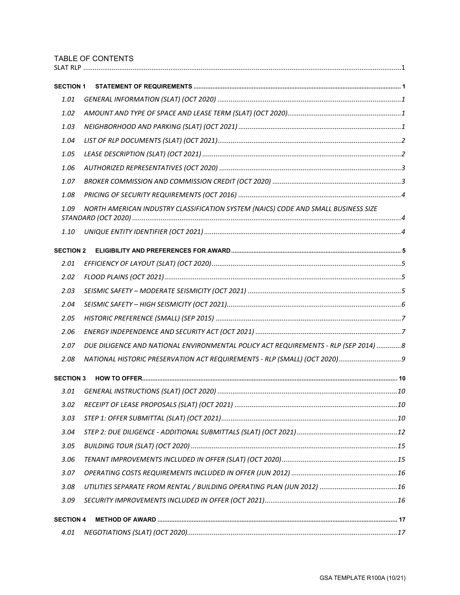# TABLE OF CONTENTS

| <b>SECTION 1</b> |                                                                                     |  |
|------------------|-------------------------------------------------------------------------------------|--|
| 1.01             |                                                                                     |  |
| 1.02             |                                                                                     |  |
| 1.03             |                                                                                     |  |
| 1.04             |                                                                                     |  |
| 1.05             |                                                                                     |  |
| 1.06             |                                                                                     |  |
| 1.07             |                                                                                     |  |
| 1.08             |                                                                                     |  |
| 1.09             | NORTH AMERICAN INDUSTRY CLASSIFICATION SYSTEM (NAICS) CODE AND SMALL BUSINESS SIZE  |  |
| 1.10             |                                                                                     |  |
| <b>SECTION 2</b> |                                                                                     |  |
| 2.01             |                                                                                     |  |
| 2.02             |                                                                                     |  |
| 2.03             |                                                                                     |  |
| 2.04             |                                                                                     |  |
| 2.05             |                                                                                     |  |
| 2.06             |                                                                                     |  |
| 2.07             | DUE DILIGENCE AND NATIONAL ENVIRONMENTAL POLICY ACT REQUIREMENTS - RLP (SEP 2014) 8 |  |
| 2.08             |                                                                                     |  |
| <b>SECTION 3</b> |                                                                                     |  |
| 3.01             |                                                                                     |  |
| 3.02             |                                                                                     |  |
| 3.03             |                                                                                     |  |
| 3.04             |                                                                                     |  |
| 3.05             |                                                                                     |  |
| 3.06             |                                                                                     |  |
| 3.07             |                                                                                     |  |
| 3.08             |                                                                                     |  |
| 3.09             |                                                                                     |  |
| <b>SECTION 4</b> |                                                                                     |  |
| 4.01             |                                                                                     |  |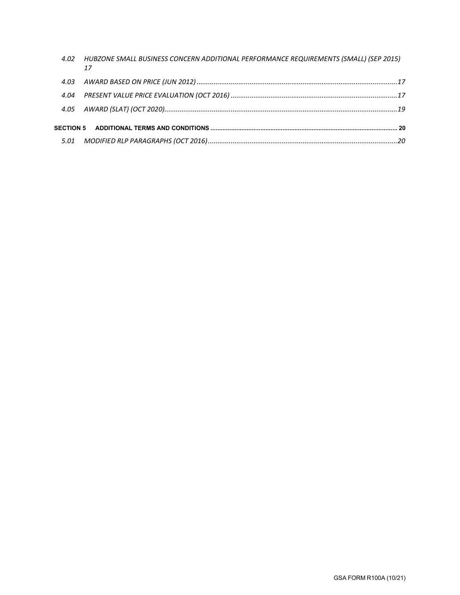| 4.02 | HUBZONE SMALL BUSINESS CONCERN ADDITIONAL PERFORMANCE REQUIREMENTS (SMALL) (SEP 2015)<br>17 |
|------|---------------------------------------------------------------------------------------------|
|      |                                                                                             |
|      |                                                                                             |
|      |                                                                                             |
|      |                                                                                             |
|      |                                                                                             |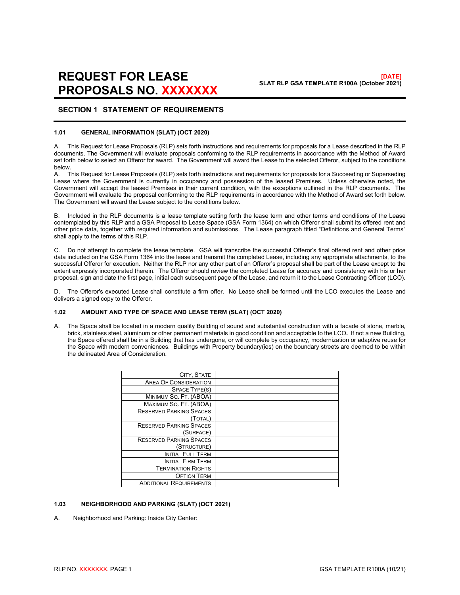# **REQUEST FOR LEASE PROPOSALS NO. XXXXXXX**

# <span id="page-3-0"></span>**SECTION 1 STATEMENT OF REQUIREMENTS**

#### <span id="page-3-1"></span>**1.01 GENERAL INFORMATION (SLAT) (OCT 2020)**

A. This Request for Lease Proposals (RLP) sets forth instructions and requirements for proposals for a Lease described in the RLP documents. The Government will evaluate proposals conforming to the RLP requirements in accordance with the Method of Award set forth below to select an Offeror for award. The Government will award the Lease to the selected Offeror, subject to the conditions below.

A. This Request for Lease Proposals (RLP) sets forth instructions and requirements for proposals for a Succeeding or Superseding Lease where the Government is currently in occupancy and possession of the leased Premises. Unless otherwise noted, the Government will accept the leased Premises in their current condition, with the exceptions outlined in the RLP documents. The Government will evaluate the proposal conforming to the RLP requirements in accordance with the Method of Award set forth below. The Government will award the Lease subject to the conditions below.

B. Included in the RLP documents is a lease template setting forth the lease term and other terms and conditions of the Lease contemplated by this RLP and a GSA Proposal to Lease Space (GSA Form 1364) on which Offeror shall submit its offered rent and other price data, together with required information and submissions. The Lease paragraph titled "Definitions and General Terms" shall apply to the terms of this RLP.

C. Do not attempt to complete the lease template. GSA will transcribe the successful Offeror's final offered rent and other price data included on the GSA Form 1364 into the lease and transmit the completed Lease, including any appropriate attachments, to the successful Offeror for execution. Neither the RLP nor any other part of an Offeror's proposal shall be part of the Lease except to the extent expressly incorporated therein. The Offeror should review the completed Lease for accuracy and consistency with his or her proposal, sign and date the first page, initial each subsequent page of the Lease, and return it to the Lease Contracting Officer (LCO).

D. The Offeror's executed Lease shall constitute a firm offer. No Lease shall be formed until the LCO executes the Lease and delivers a signed copy to the Offeror.

# <span id="page-3-2"></span>**1.02 AMOUNT AND TYPE OF SPACE AND LEASE TERM (SLAT) (OCT 2020)**

A. The Space shall be located in a modern quality Building of sound and substantial construction with a facade of stone, marble, brick, stainless steel, aluminum or other permanent materials in good condition and acceptable to the LCO**.** If not a new Building, the Space offered shall be in a Building that has undergone, or will complete by occupancy, modernization or adaptive reuse for the Space with modern conveniences. Buildings with Property boundary(ies) on the boundary streets are deemed to be within the delineated Area of Consideration.

| CITY, STATE                    |  |
|--------------------------------|--|
| <b>AREA OF CONSIDERATION</b>   |  |
| SPACE TYPE(S)                  |  |
| MINIMUM SQ. FT. (ABOA)         |  |
| MAXIMUM SQ. FT. (ABOA)         |  |
| <b>RESERVED PARKING SPACES</b> |  |
| (TOTAL)                        |  |
| <b>RESERVED PARKING SPACES</b> |  |
| (SURFACE)                      |  |
| <b>RESERVED PARKING SPACES</b> |  |
| (Structure)                    |  |
| <b>INITIAL FULL TERM</b>       |  |
| <b>INITIAL FIRM TERM</b>       |  |
| <b>TERMINATION RIGHTS</b>      |  |
| <b>OPTION TERM</b>             |  |
| <b>ADDITIONAL REQUIREMENTS</b> |  |

# <span id="page-3-3"></span>**1.03 NEIGHBORHOOD AND PARKING (SLAT) (OCT 2021)**

A. Neighborhood and Parking: Inside City Center: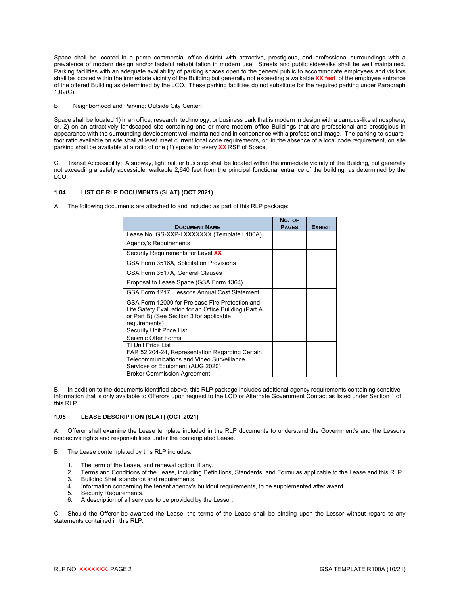Space shall be located in a prime commercial office district with attractive, prestigious, and professional surroundings with a prevalence of modern design and/or tasteful rehabilitation in modern use. Streets and public sidewalks shall be well maintained. Parking facilities with an adequate availability of parking spaces open to the general public to accommodate employees and visitors shall be located within the immediate vicinity of the Building but generally not exceeding a walkable **XX feet** of the employee entrance of the offered Building as determined by the LCO. These parking facilities do not substitute for the required parking under Paragraph 1.02(C).

B. Neighborhood and Parking: Outside City Center:

Space shall be located 1) in an office, research, technology, or business park that is modern in design with a campus-like atmosphere; or, 2) on an attractively landscaped site containing one or more modern office Buildings that are professional and prestigious in appearance with the surrounding development well maintained and in consonance with a professional image. The parking-to-squarefoot ratio available on site shall at least meet current local code requirements, or, in the absence of a local code requirement, on site parking shall be available at a ratio of one (1) space for every **XX** RSF of Space.

C. Transit Accessibility: A subway, light rail, or bus stop shall be located within the immediate vicinity of the Building, but generally not exceeding a safely accessible, walkable 2,640 feet from the principal functional entrance of the building, as determined by the LCO.

# <span id="page-4-0"></span>**1.04 LIST OF RLP DOCUMENTS (SLAT) (OCT 2021)**

A. The following documents are attached to and included as part of this RLP package:

| <b>DOCUMENT NAME</b>                                                                                                                                                  | No. OF<br><b>PAGES</b> | <b>EXHIBIT</b> |
|-----------------------------------------------------------------------------------------------------------------------------------------------------------------------|------------------------|----------------|
| Lease No. GS-XXP-LXXXXXXX (Template L100A)                                                                                                                            |                        |                |
| Agency's Requirements                                                                                                                                                 |                        |                |
| Security Requirements for Level XX                                                                                                                                    |                        |                |
| GSA Form 3516A, Solicitation Provisions                                                                                                                               |                        |                |
| GSA Form 3517A, General Clauses                                                                                                                                       |                        |                |
| Proposal to Lease Space (GSA Form 1364)                                                                                                                               |                        |                |
| GSA Form 1217, Lessor's Annual Cost Statement                                                                                                                         |                        |                |
| GSA Form 12000 for Prelease Fire Protection and<br>Life Safety Evaluation for an Office Building (Part A<br>or Part B) (See Section 3 for applicable<br>requirements) |                        |                |
| <b>Security Unit Price List</b>                                                                                                                                       |                        |                |
| Seismic Offer Forms                                                                                                                                                   |                        |                |
| TI Unit Price List                                                                                                                                                    |                        |                |
| FAR 52.204-24, Representation Regarding Certain                                                                                                                       |                        |                |
| Telecommunications and Video Surveillance                                                                                                                             |                        |                |
| Services or Equipment (AUG 2020)                                                                                                                                      |                        |                |
| <b>Broker Commission Agreement</b>                                                                                                                                    |                        |                |

B. In addition to the documents identified above, this RLP package includes additional agency requirements containing sensitive information that is only available to Offerors upon request to the LCO or Alternate Government Contact as listed under Section 1 of this RLP.

# <span id="page-4-1"></span>**1.05 LEASE DESCRIPTION (SLAT) (OCT 2021)**

A. Offeror shall examine the Lease template included in the RLP documents to understand the Government's and the Lessor's respective rights and responsibilities under the contemplated Lease.

B. The Lease contemplated by this RLP includes:

- 1. The term of the Lease, and renewal option, if any.<br>2. Terms and Conditions of the Lease, including Defi
- 2. Terms and Conditions of the Lease, including Definitions, Standards, and Formulas applicable to the Lease and this RLP.
- 3. Building Shell standards and requirements.
- 4. Information concerning the tenant agency's buildout requirements, to be supplemented after award.
- 5. Security Requirements.<br>6. A description of all servi
- 6. A description of all services to be provided by the Lessor.

C. Should the Offeror be awarded the Lease, the terms of the Lease shall be binding upon the Lessor without regard to any statements contained in this RLP.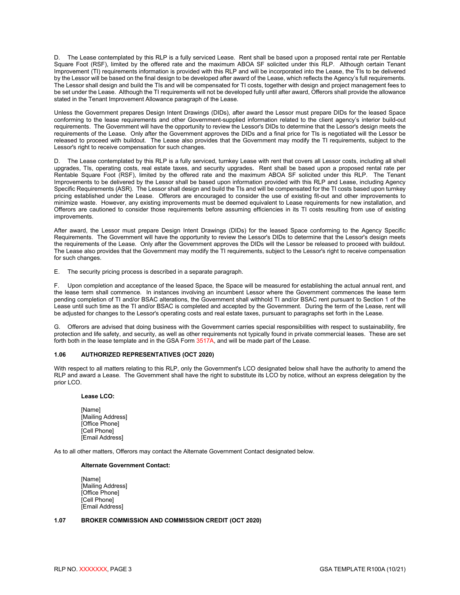D. The Lease contemplated by this RLP is a fully serviced Lease. Rent shall be based upon a proposed rental rate per Rentable Square Foot (RSF), limited by the offered rate and the maximum ABOA SF solicited under this RLP. Although certain Tenant Improvement (TI) requirements information is provided with this RLP and will be incorporated into the Lease, the TIs to be delivered by the Lessor will be based on the final design to be developed after award of the Lease, which reflects the Agency's full requirements. The Lessor shall design and build the TIs and will be compensated for TI costs, together with design and project management fees to be set under the Lease. Although the TI requirements will not be developed fully until after award, Offerors shall provide the allowance stated in the Tenant Improvement Allowance paragraph of the Lease.

Unless the Government prepares Design Intent Drawings (DIDs), after award the Lessor must prepare DIDs for the leased Space conforming to the lease requirements and other Government-supplied information related to the client agency's interior build-out requirements. The Government will have the opportunity to review the Lessor's DIDs to determine that the Lessor's design meets the requirements of the Lease. Only after the Government approves the DIDs and a final price for TIs is negotiated will the Lessor be released to proceed with buildout. The Lease also provides that the Government may modify the TI requirements, subject to the Lessor's right to receive compensation for such changes.

D. The Lease contemplated by this RLP is a fully serviced, turnkey Lease with rent that covers all Lessor costs, including all shell upgrades, TIs, operating costs, real estate taxes, and security upgrades**.** Rent shall be based upon a proposed rental rate per Rentable Square Foot (RSF), limited by the offered rate and the maximum ABOA SF solicited under this RLP. The Tenant Improvements to be delivered by the Lessor shall be based upon information provided with this RLP and Lease, including Agency Specific Requirements (ASR). The Lessor shall design and build the TIs and will be compensated for the TI costs based upon turnkey pricing established under the Lease. Offerors are encouraged to consider the use of existing fit-out and other improvements to minimize waste. However, any existing improvements must be deemed equivalent to Lease requirements for new installation, and Offerors are cautioned to consider those requirements before assuming efficiencies in its TI costs resulting from use of existing improvements.

After award, the Lessor must prepare Design Intent Drawings (DIDs) for the leased Space conforming to the Agency Specific Requirements. The Government will have the opportunity to review the Lessor's DIDs to determine that the Lessor's design meets the requirements of the Lease. Only after the Government approves the DIDs will the Lessor be released to proceed with buildout. The Lease also provides that the Government may modify the TI requirements, subject to the Lessor's right to receive compensation for such changes.

E. The security pricing process is described in a separate paragraph.

F. Upon completion and acceptance of the leased Space, the Space will be measured for establishing the actual annual rent, and the lease term shall commence. In instances involving an incumbent Lessor where the Government commences the lease term pending completion of TI and/or BSAC alterations, the Government shall withhold TI and/or BSAC rent pursuant to Section 1 of the Lease until such time as the TI and/or BSAC is completed and accepted by the Government. During the term of the Lease, rent will be adjusted for changes to the Lessor's operating costs and real estate taxes, pursuant to paragraphs set forth in the Lease.

G. Offerors are advised that doing business with the Government carries special responsibilities with respect to sustainability, fire protection and life safety, and security, as well as other requirements not typically found in private commercial leases. These are set forth both in the lease template and in the GSA Form 3517A, and will be made part of the Lease.

# <span id="page-5-0"></span>**1.06 AUTHORIZED REPRESENTATIVES (OCT 2020)**

With respect to all matters relating to this RLP, only the Government's LCO designated below shall have the authority to amend the RLP and award a Lease. The Government shall have the right to substitute its LCO by notice, without an express delegation by the prior LCO.

# **Lease LCO:**

[Name] [Mailing Address] [Office Phone] [Cell Phone] [Email Address]

As to all other matters, Offerors may contact the Alternate Government Contact designated below.

# **Alternate Government Contact:**

[Name] [Mailing Address] [Office Phone] [Cell Phone] [Email Address]

# <span id="page-5-1"></span>**1.07 BROKER COMMISSION AND COMMISSION CREDIT (OCT 2020)**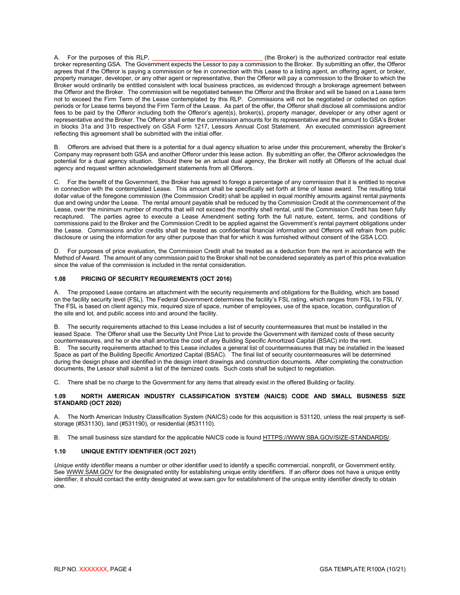A. For the purposes of this RLP, **Example 20** is the Broker) is the authorized contractor real estate broker representing GSA. The Government expects the Lessor to pay a commission to the Broker. By submitting an offer, the Offeror agrees that if the Offeror is paying a commission or fee in connection with this Lease to a listing agent, an offering agent, or broker, property manager, developer, or any other agent or representative, then the Offeror will pay a commission to the Broker to which the Broker would ordinarily be entitled consistent with local business practices, as evidenced through a brokerage agreement between the Offeror and the Broker. The commission will be negotiated between the Offeror and the Broker and will be based on a Lease term not to exceed the Firm Term of the Lease contemplated by this RLP. Commissions will not be negotiated or collected on option periods or for Lease terms beyond the Firm Term of the Lease. As part of the offer, the Offeror shall disclose all commissions and/or fees to be paid by the Offeror including both the Offeror's agent(s), broker(s), property manager, developer or any other agent or representative and the Broker. The Offeror shall enter the commission amounts for its representative and the amount to GSA's Broker in blocks 31a and 31b respectively on GSA Form 1217, Lessors Annual Cost Statement. An executed commission agreement reflecting this agreement shall be submitted with the initial offer.

B. Offerors are advised that there is a potential for a dual agency situation to arise under this procurement, whereby the Broker's Company may represent both GSA and another Offeror under this lease action. By submitting an offer, the Offeror acknowledges the potential for a dual agency situation. Should there be an actual dual agency, the Broker will notify all Offerors of the actual dual agency and request written acknowledgement statements from all Offerors.

C. For the benefit of the Government, the Broker has agreed to forego a percentage of any commission that it is entitled to receive in connection with the contemplated Lease. This amount shall be specifically set forth at time of lease award. The resulting total dollar value of the foregone commission (the Commission Credit) shall be applied in equal monthly amounts against rental payments due and owing under the Lease. The rental amount payable shall be reduced by the Commission Credit at the commencement of the Lease, over the minimum number of months that will not exceed the monthly shell rental, until the Commission Credit has been fully recaptured. The parties agree to execute a Lease Amendment setting forth the full nature, extent, terms, and conditions of commissions paid to the Broker and the Commission Credit to be applied against the Government's rental payment obligations under the Lease. Commissions and/or credits shall be treated as confidential financial information and Offerors will refrain from public disclosure or using the information for any other purpose than that for which it was furnished without consent of the GSA LCO.

D. For purposes of price evaluation, the Commission Credit shall be treated as a deduction from the rent in accordance with the Method of Award. The amount of any commission paid to the Broker shall not be considered separately as part of this price evaluation since the value of the commission is included in the rental consideration.

# <span id="page-6-0"></span>**1.08 PRICING OF SECURITY REQUIREMENTS (OCT 2016)**

A. The proposed Lease contains an attachment with the security requirements and obligations for the Building, which are based on the facility security level (FSL). The Federal Government determines the facility's FSL rating, which ranges from FSL I to FSL IV. The FSL is based on client agency mix, required size of space, number of employees, use of the space, location, configuration of the site and lot, and public access into and around the facility.

B. The security requirements attached to this Lease includes a list of security countermeasures that must be installed in the leased Space. The Offeror shall use the Security Unit Price List to provide the Government with itemized costs of these security countermeasures, and he or she shall amortize the cost of any Building Specific Amortized Capital (BSAC) into the rent. B. The security requirements attached to this Lease includes a general list of countermeasures that may be installed in the leased Space as part of the Building Specific Amortized Capital (BSAC). The final list of security countermeasures will be determined during the design phase and identified in the design intent drawings and construction documents. After completing the construction documents, the Lessor shall submit a list of the itemized costs. Such costs shall be subject to negotiation.

C. There shall be no charge to the Government for any items that already exist in the offered Building or facility.

# <span id="page-6-1"></span>**1.09 NORTH AMERICAN INDUSTRY CLASSIFICATION SYSTEM (NAICS) CODE AND SMALL BUSINESS SIZE STANDARD (OCT 2020)**

A. The North American Industry Classification System (NAICS) code for this acquisition is 531120, unless the real property is selfstorage (#531130), land (#531190), or residential (#531110).

B. The small business size standard for the applicable NAICS code is found [HTTPS://WWW.SBA.GOV/SIZE-STANDARDS/.](https://www.sba.gov/size-standards/)

# <span id="page-6-2"></span>**1.10 UNIQUE ENTITY IDENTIFIER (OCT 2021)**

*Unique entity identifier* means a number or other identifier used to identify a specific commercial, nonprofit, or Government entity. Se[e WWW.SAM.GOV](http://www.sam.gov/) for the designated entity for establishing unique entity identifiers. If an offeror does not have a unique entity identifier, it should contact the entity designated at www.sam.gov for establishment of the unique entity identifier directly to obtain one.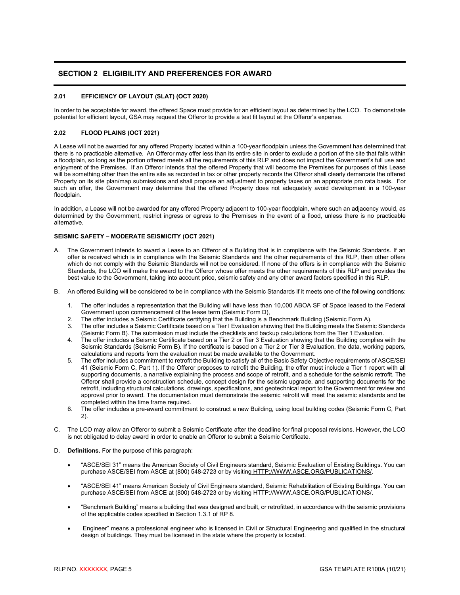# <span id="page-7-0"></span>**SECTION 2 ELIGIBILITY AND PREFERENCES FOR AWARD**

# <span id="page-7-1"></span>**2.01 EFFICIENCY OF LAYOUT (SLAT) (OCT 2020)**

In order to be acceptable for award, the offered Space must provide for an efficient layout as determined by the LCO. To demonstrate potential for efficient layout, GSA may request the Offeror to provide a test fit layout at the Offeror's expense.

# <span id="page-7-2"></span>**2.02 FLOOD PLAINS (OCT 2021)**

A Lease will not be awarded for any offered Property located within a 100-year floodplain unless the Government has determined that there is no practicable alternative. An Offeror may offer less than its entire site in order to exclude a portion of the site that falls within a floodplain, so long as the portion offered meets all the requirements of this RLP and does not impact the Government's full use and enjoyment of the Premises. If an Offeror intends that the offered Property that will become the Premises for purposes of this Lease will be something other than the entire site as recorded in tax or other property records the Offeror shall clearly demarcate the offered Property on its site plan/map submissions and shall propose an adjustment to property taxes on an appropriate pro rata basis. For such an offer, the Government may determine that the offered Property does not adequately avoid development in a 100-year floodplain.

In addition, a Lease will not be awarded for any offered Property adjacent to 100-year floodplain, where such an adjacency would, as determined by the Government, restrict ingress or egress to the Premises in the event of a flood, unless there is no practicable alternative.

# <span id="page-7-3"></span>**SEISMIC SAFETY – MODERATE SEISMICITY (OCT 2021)**

- A. The Government intends to award a Lease to an Offeror of a Building that is in compliance with the Seismic Standards. If an offer is received which is in compliance with the Seismic Standards and the other requirements of this RLP, then other offers which do not comply with the Seismic Standards will not be considered. If none of the offers is in compliance with the Seismic Standards, the LCO will make the award to the Offeror whose offer meets the other requirements of this RLP and provides the best value to the Government, taking into account price, seismic safety and any other award factors specified in this RLP.
- B. An offered Building will be considered to be in compliance with the Seismic Standards if it meets one of the following conditions:
	- 1. The offer includes a representation that the Building will have less than 10,000 ABOA SF of Space leased to the Federal Government upon commencement of the lease term (Seismic Form D),
	- 2. The offer includes a Seismic Certificate certifying that the Building is a Benchmark Building (Seismic Form A).
	- 3. The offer includes a Seismic Certificate based on a Tier I Evaluation showing that the Building meets the Seismic Standards (Seismic Form B). The submission must include the checklists and backup calculations from the Tier 1 Evaluation.
	- 4. The offer includes a Seismic Certificate based on a Tier 2 or Tier 3 Evaluation showing that the Building complies with the Seismic Standards (Seismic Form B). If the certificate is based on a Tier 2 or Tier 3 Evaluation, the data, working papers, calculations and reports from the evaluation must be made available to the Government.
	- 5. The offer includes a commitment to retrofit the Building to satisfy all of the Basic Safety Objective requirements of ASCE/SEI 41 (Seismic Form C, Part 1). If the Offeror proposes to retrofit the Building, the offer must include a Tier 1 report with all supporting documents, a narrative explaining the process and scope of retrofit, and a schedule for the seismic retrofit. The Offeror shall provide a construction schedule, concept design for the seismic upgrade, and supporting documents for the retrofit, including structural calculations, drawings, specifications, and geotechnical report to the Government for review and approval prior to award. The documentation must demonstrate the seismic retrofit will meet the seismic standards and be completed within the time frame required.
	- 6. The offer includes a pre-award commitment to construct a new Building, using local building codes (Seismic Form C, Part 2).
- C. The LCO may allow an Offeror to submit a Seismic Certificate after the deadline for final proposal revisions. However, the LCO is not obligated to delay award in order to enable an Offeror to submit a Seismic Certificate.
- D. **Definitions.** For the purpose of this paragraph:
	- "ASCE/SEI 31" means the American Society of Civil Engineers standard, Seismic Evaluation of Existing Buildings. You can purchase ASCE/SEI from ASCE at (800) 548-2723 or by visiting [HTTP://WWW.ASCE.ORG/PUBLICATIONS/.](http://www.asce.org/publications/)
	- "ASCE/SEI 41" means American Society of Civil Engineers standard, Seismic Rehabilitation of Existing Buildings. You can purchase ASCE/SEI from ASCE at (800) 548-2723 or by visiting [HTTP://WWW.ASCE.ORG/PUBLICATIONS/.](http://www.asce.org/publications/)
	- "Benchmark Building" means a building that was designed and built, or retrofitted, in accordance with the seismic provisions of the applicable codes specified in Section 1.3.1 of RP 8.
	- Engineer" means a professional engineer who is licensed in Civil or Structural Engineering and qualified in the structural design of buildings. They must be licensed in the state where the property is located.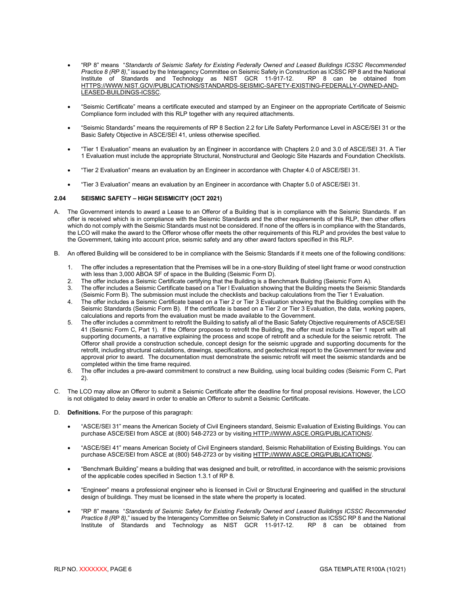- "RP 8" means "*Standards of Seismic Safety for Existing Federally Owned and Leased Buildings ICSSC Recommended Practice 8 (RP 8)*," issued by the Interagency Committee on Seismic Safety in Construction as ICSSC RP 8 and the National Institute of Standards and Technology as NIST GCR 11-917-12. RP 8 can be obtained from Institute of Standards and Technology as NIST GCR 11-917-12. RP 8 can be obtained from [HTTPS://WWW.NIST.GOV/PUBLICATIONS/STANDARDS-SEISMIC-SAFETY-EXISTING-FEDERALLY-OWNED-AND-](https://www.nist.gov/publications/standards-seismic-safety-existing-federally-owned-and-leased-buildings-icssc)[LEASED-BUILDINGS-ICSSC.](https://www.nist.gov/publications/standards-seismic-safety-existing-federally-owned-and-leased-buildings-icssc)
- "Seismic Certificate" means a certificate executed and stamped by an Engineer on the appropriate Certificate of Seismic Compliance form included with this RLP together with any required attachments.
- "Seismic Standards" means the requirements of RP 8 Section 2.2 for Life Safety Performance Level in ASCE/SEI 31 or the Basic Safety Objective in ASCE/SEI 41, unless otherwise specified.
- "Tier 1 Evaluation" means an evaluation by an Engineer in accordance with Chapters 2.0 and 3.0 of ASCE/SEI 31. A Tier 1 Evaluation must include the appropriate Structural, Nonstructural and Geologic Site Hazards and Foundation Checklists.
- "Tier 2 Evaluation" means an evaluation by an Engineer in accordance with Chapter 4.0 of ASCE/SEI 31.
- "Tier 3 Evaluation" means an evaluation by an Engineer in accordance with Chapter 5.0 of ASCE/SEI 31.

#### <span id="page-8-0"></span>**2.04 SEISMIC SAFETY – HIGH SEISMICITY (OCT 2021)**

- A. The Government intends to award a Lease to an Offeror of a Building that is in compliance with the Seismic Standards. If an offer is received which is in compliance with the Seismic Standards and the other requirements of this RLP, then other offers which do not comply with the Seismic Standards must not be considered. If none of the offers is in compliance with the Standards, the LCO will make the award to the Offeror whose offer meets the other requirements of this RLP and provides the best value to the Government, taking into account price, seismic safety and any other award factors specified in this RLP.
- B. An offered Building will be considered to be in compliance with the Seismic Standards if it meets one of the following conditions:
	- 1. The offer includes a representation that the Premises will be in a one-story Building of steel light frame or wood construction with less than 3,000 ABOA SF of space in the Building (Seismic Form D).
	- 2. The offer includes a Seismic Certificate certifying that the Building is a Benchmark Building (Seismic Form A).
	- The offer includes a Seismic Certificate based on a Tier I Evaluation showing that the Building meets the Seismic Standards (Seismic Form B). The submission must include the checklists and backup calculations from the Tier 1 Evaluation.
	- 4. The offer includes a Seismic Certificate based on a Tier 2 or Tier 3 Evaluation showing that the Building complies with the Seismic Standards (Seismic Form B). If the certificate is based on a Tier 2 or Tier 3 Evaluation, the data, working papers, calculations and reports from the evaluation must be made available to the Government.
	- 5. The offer includes a commitment to retrofit the Building to satisfy all of the Basic Safety Objective requirements of ASCE/SEI 41 (Seismic Form C, Part 1). If the Offeror proposes to retrofit the Building, the offer must include a Tier 1 report with all supporting documents, a narrative explaining the process and scope of retrofit and a schedule for the seismic retrofit. The Offeror shall provide a construction schedule, concept design for the seismic upgrade and supporting documents for the retrofit, including structural calculations, drawings, specifications, and geotechnical report to the Government for review and approval prior to award. The documentation must demonstrate the seismic retrofit will meet the seismic standards and be completed within the time frame required.
	- 6. The offer includes a pre-award commitment to construct a new Building, using local building codes (Seismic Form C, Part 2).
- C. The LCO may allow an Offeror to submit a Seismic Certificate after the deadline for final proposal revisions. However, the LCO is not obligated to delay award in order to enable an Offeror to submit a Seismic Certificate.
- D. **Definitions.** For the purpose of this paragraph:
	- "ASCE/SEI 31" means the American Society of Civil Engineers standard, Seismic Evaluation of Existing Buildings. You can purchase ASCE/SEI from ASCE at (800) 548-2723 or by visiting [HTTP://WWW.ASCE.ORG/PUBLICATIONS/.](http://www.asce.org/publications/)
	- "ASCE/SEI 41" means American Society of Civil Engineers standard, Seismic Rehabilitation of Existing Buildings. You can purchase ASCE/SEI from ASCE at (800) 548-2723 or by visiting [HTTP://WWW.ASCE.ORG/PUBLICATIONS/.](http://www.asce.org/publications/)
	- "Benchmark Building" means a building that was designed and built, or retrofitted, in accordance with the seismic provisions of the applicable codes specified in Section 1.3.1 of RP 8.
	- "Engineer" means a professional engineer who is licensed in Civil or Structural Engineering and qualified in the structural design of buildings. They must be licensed in the state where the property is located.
	- "RP 8" means "*Standards of Seismic Safety for Existing Federally Owned and Leased Buildings ICSSC Recommended Practice 8 (RP 8)*," issued by the Interagency Committee on Seismic Safety in Construction as ICSSC RP 8 and the National Institute of Standards and Technology as NIST GCR 11-917-12. RP 8 can be obtained from Institute of Standards and Technology as NIST GCR 11-917-12.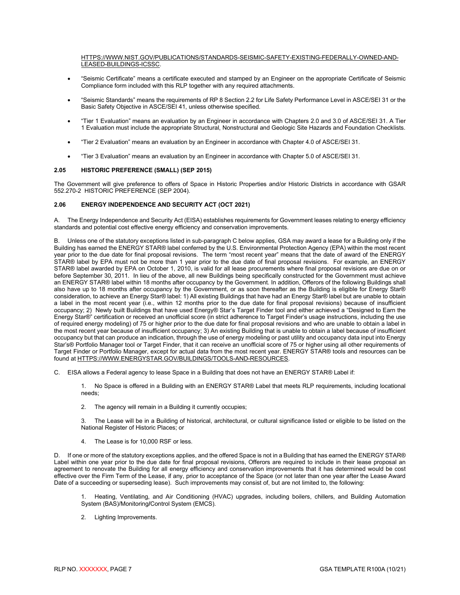#### [HTTPS://WWW.NIST.GOV/PUBLICATIONS/STANDARDS-SEISMIC-SAFETY-EXISTING-FEDERALLY-OWNED-AND-](https://www.nist.gov/publications/standards-seismic-safety-existing-federally-owned-and-leased-buildings-icssc)[LEASED-BUILDINGS-ICSSC.](https://www.nist.gov/publications/standards-seismic-safety-existing-federally-owned-and-leased-buildings-icssc)

- "Seismic Certificate" means a certificate executed and stamped by an Engineer on the appropriate Certificate of Seismic Compliance form included with this RLP together with any required attachments.
- "Seismic Standards" means the requirements of RP 8 Section 2.2 for Life Safety Performance Level in ASCE/SEI 31 or the Basic Safety Objective in ASCE/SEI 41, unless otherwise specified.
- "Tier 1 Evaluation" means an evaluation by an Engineer in accordance with Chapters 2.0 and 3.0 of ASCE/SEI 31. A Tier 1 Evaluation must include the appropriate Structural, Nonstructural and Geologic Site Hazards and Foundation Checklists.
- "Tier 2 Evaluation" means an evaluation by an Engineer in accordance with Chapter 4.0 of ASCE/SEI 31.
- <span id="page-9-0"></span>• "Tier 3 Evaluation" means an evaluation by an Engineer in accordance with Chapter 5.0 of ASCE/SEI 31.

# **2.05 HISTORIC PREFERENCE (SMALL) (SEP 2015)**

The Government will give preference to offers of Space in Historic Properties and/or Historic Districts in accordance with GSAR 552.270-2 HISTORIC PREFERENCE (SEP 2004).

# <span id="page-9-1"></span>**2.06 ENERGY INDEPENDENCE AND SECURITY ACT (OCT 2021)**

A. The Energy Independence and Security Act (EISA) establishes requirements for Government leases relating to energy efficiency standards and potential cost effective energy efficiency and conservation improvements.

B. Unless one of the statutory exceptions listed in sub-paragraph C below applies, GSA may award a lease for a Building only if the Building has earned the ENERGY STAR® label conferred by the U.S. Environmental Protection Agency (EPA) within the most recent year prior to the due date for final proposal revisions. The term "most recent year" means that the date of award of the ENERGY STAR® label by EPA must not be more than 1 year prior to the due date of final proposal revisions. For example, an ENERGY STAR® label awarded by EPA on October 1, 2010, is valid for all lease procurements where final proposal revisions are due on or before September 30, 2011. In lieu of the above, all new Buildings being specifically constructed for the Government must achieve an ENERGY STAR® label within 18 months after occupancy by the Government. In addition, Offerors of the following Buildings shall also have up to 18 months after occupancy by the Government, or as soon thereafter as the Building is eligible for Energy Star® consideration, to achieve an Energy Star® label: 1) All existing Buildings that have had an Energy Star® label but are unable to obtain a label in the most recent year (i.e., within 12 months prior to the due date for final proposal revisions) because of insufficient occupancy; 2) Newly built Buildings that have used Energy® Star's Target Finder tool and either achieved a "Designed to Earn the Energy Star®" certification or received an unofficial score (in strict adherence to Target Finder's usage instructions, including the use of required energy modeling) of 75 or higher prior to the due date for final proposal revisions and who are unable to obtain a label in the most recent year because of insufficient occupancy; 3) An existing Building that is unable to obtain a label because of insufficient occupancy but that can produce an indication, through the use of energy modeling or past utility and occupancy data input into Energy Star's® Portfolio Manager tool or Target Finder, that it can receive an unofficial score of 75 or higher using all other requirements of Target Finder or Portfolio Manager, except for actual data from the most recent year. ENERGY STAR® tools and resources can be found at HTTPS://WWW.ENERGYSTAR.GOV/BUILDINGS/TOOLS-AND-RESOURCES.

C. EISA allows a Federal agency to lease Space in a Building that does not have an ENERGY STAR® Label if:

1. No Space is offered in a Building with an ENERGY STAR® Label that meets RLP requirements, including locational needs;

2. The agency will remain in a Building it currently occupies;

3. The Lease will be in a Building of historical, architectural, or cultural significance listed or eligible to be listed on the National Register of Historic Places; or

4. The Lease is for 10,000 RSF or less.

D. If one or more of the statutory exceptions applies, and the offered Space is not in a Building that has earned the ENERGY STAR® Label within one year prior to the due date for final proposal revisions, Offerors are required to include in their lease proposal an agreement to renovate the Building for all energy efficiency and conservation improvements that it has determined would be cost effective over the Firm Term of the Lease, if any, prior to acceptance of the Space (or not later than one year after the Lease Award Date of a succeeding or superseding lease). Such improvements may consist of, but are not limited to, the following:

1. Heating, Ventilating, and Air Conditioning (HVAC) upgrades, including boilers, chillers, and Building Automation System (BAS)/Monitoring**/**Control System (EMCS).

2. Lighting Improvements.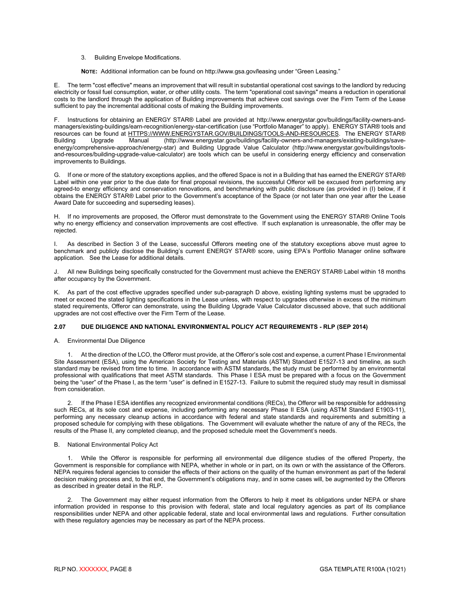3. Building Envelope Modifications.

**NOTE:** Additional information can be found on http:/**/**www.gsa.gov**/**leasing under "Green Leasing."

E. The term "cost effective" means an improvement that will result in substantial operational cost savings to the landlord by reducing electricity or fossil fuel consumption, water, or other utility costs. The term "operational cost savings" means a reduction in operational costs to the landlord through the application of Building improvements that achieve cost savings over the Firm Term of the Lease sufficient to pay the incremental additional costs of making the Building improvements.

F. Instructions for obtaining an ENERGY STAR® Label are provided at http://www.energystar.gov/buildings/facility-owners-andmanagers/existing-buildings/earn-recognition/energy-star-certification (use "Portfolio Manager" to apply). ENERGY STAR® tools and resources can be found at [HTTPS://WWW.ENERGYSTAR.GOV/BUILDINGS/TOOLS-AND-RESOURCES.](https://www.energystar.gov/BUILDINGS/TOOLS-AND-RESOURCES) The ENERGY STAR®<br>Building Upgrade Manual (http://www.energystar.gov/buildings/facility-owners-and-managers/existing-buildings/save-Building Upgrade Manual (http://www.energystar.gov/buildings/facility-owners-and-managers/existing-buildings/saveenergy/comprehensive-approach/energy-star) and Building Upgrade Value Calculator (http://www.energystar.gov/buildings/toolsand-resources/building-upgrade-value-calculator) are tools which can be useful in considering energy efficiency and conservation improvements to Buildings.

G. If one or more of the statutory exceptions applies, and the offered Space is not in a Building that has earned the ENERGY STAR® Label within one year prior to the due date for final proposal revisions, the successful Offeror will be excused from performing any agreed-to energy efficiency and conservation renovations, and benchmarking with public disclosure (as provided in (I) below, if it obtains the ENERGY STAR® Label prior to the Government's acceptance of the Space (or not later than one year after the Lease Award Date for succeeding and superseding leases).

H. If no improvements are proposed, the Offeror must demonstrate to the Government using the ENERGY STAR® Online Tools why no energy efficiency and conservation improvements are cost effective. If such explanation is unreasonable, the offer may be rejected.

I. As described in Section 3 of the Lease, successful Offerors meeting one of the statutory exceptions above must agree to benchmark and publicly disclose the Building's current ENERGY STAR® score, using EPA's Portfolio Manager online software application. See the Lease for additional details.

J. All new Buildings being specifically constructed for the Government must achieve the ENERGY STAR® Label within 18 months after occupancy by the Government.

K. As part of the cost effective upgrades specified under sub-paragraph D above, existing lighting systems must be upgraded to meet or exceed the stated lighting specifications in the Lease unless, with respect to upgrades otherwise in excess of the minimum stated requirements, Offeror can demonstrate, using the Building Upgrade Value Calculator discussed above, that such additional upgrades are not cost effective over the Firm Term of the Lease.

#### <span id="page-10-0"></span>**2.07 DUE DILIGENCE AND NATIONAL ENVIRONMENTAL POLICY ACT REQUIREMENTS - RLP (SEP 2014)**

A. Environmental Due Diligence

1. At the direction of the LCO, the Offeror must provide, at the Offeror's sole cost and expense, a current Phase I Environmental Site Assessment (ESA), using the American Society for Testing and Materials (ASTM) Standard E1527-13 and timeline, as such standard may be revised from time to time. In accordance with ASTM standards, the study must be performed by an environmental professional with qualifications that meet ASTM standards. This Phase I ESA must be prepared with a focus on the Government being the "user" of the Phase I, as the term "user" is defined in E1527-13. Failure to submit the required study may result in dismissal from consideration.

2. If the Phase I ESA identifies any recognized environmental conditions (RECs), the Offeror will be responsible for addressing such RECs, at its sole cost and expense, including performing any necessary Phase II ESA (using ASTM Standard E1903-11), performing any necessary cleanup actions in accordance with federal and state standards and requirements and submitting a proposed schedule for complying with these obligations. The Government will evaluate whether the nature of any of the RECs, the results of the Phase II, any completed cleanup, and the proposed schedule meet the Government's needs.

#### B. National Environmental Policy Act

1. While the Offeror is responsible for performing all environmental due diligence studies of the offered Property, the Government is responsible for compliance with NEPA, whether in whole or in part, on its own or with the assistance of the Offerors. NEPA requires federal agencies to consider the effects of their actions on the quality of the human environment as part of the federal decision making process and, to that end, the Government's obligations may, and in some cases will, be augmented by the Offerors as described in greater detail in the RLP.

2. The Government may either request information from the Offerors to help it meet its obligations under NEPA or share information provided in response to this provision with federal, state and local regulatory agencies as part of its compliance responsibilities under NEPA and other applicable federal, state and local environmental laws and regulations. Further consultation with these regulatory agencies may be necessary as part of the NEPA process.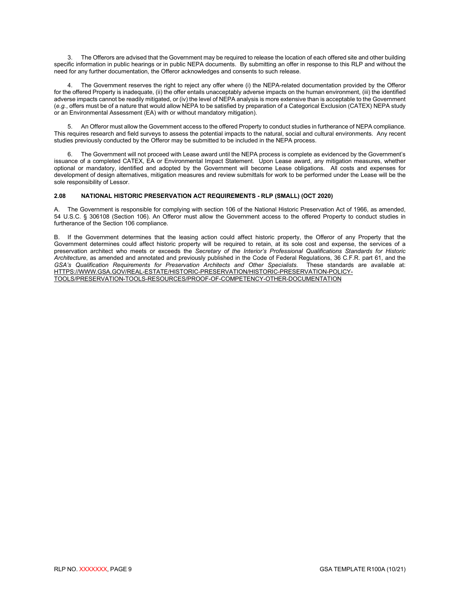3. The Offerors are advised that the Government may be required to release the location of each offered site and other building specific information in public hearings or in public NEPA documents. By submitting an offer in response to this RLP and without the need for any further documentation, the Offeror acknowledges and consents to such release.

The Government reserves the right to reject any offer where (i) the NEPA-related documentation provided by the Offeror for the offered Property is inadequate, (ii) the offer entails unacceptably adverse impacts on the human environment, (iii) the identified adverse impacts cannot be readily mitigated, or (iv) the level of NEPA analysis is more extensive than is acceptable to the Government (*e.g.*, offers must be of a nature that would allow NEPA to be satisfied by preparation of a Categorical Exclusion (CATEX) NEPA study or an Environmental Assessment (EA) with or without mandatory mitigation).

5. An Offeror must allow the Government access to the offered Property to conduct studies in furtherance of NEPA compliance. This requires research and field surveys to assess the potential impacts to the natural, social and cultural environments. Any recent studies previously conducted by the Offeror may be submitted to be included in the NEPA process.

6. The Government will not proceed with Lease award until the NEPA process is complete as evidenced by the Government's issuance of a completed CATEX, EA or Environmental Impact Statement. Upon Lease award, any mitigation measures, whether optional or mandatory, identified and adopted by the Government will become Lease obligations. All costs and expenses for development of design alternatives, mitigation measures and review submittals for work to be performed under the Lease will be the sole responsibility of Lessor.

# <span id="page-11-0"></span>**2.08 NATIONAL HISTORIC PRESERVATION ACT REQUIREMENTS - RLP (SMALL) (OCT 2020)**

The Government is responsible for complying with section 106 of the National Historic Preservation Act of 1966, as amended, 54 U.S.C. § 306108 (Section 106). An Offeror must allow the Government access to the offered Property to conduct studies in furtherance of the Section 106 compliance.

B. If the Government determines that the leasing action could affect historic property, the Offeror of any Property that the Government determines could affect historic property will be required to retain, at its sole cost and expense, the services of a preservation architect who meets or exceeds the *Secretary of the Interior's Professional Qualifications Standards for Historic Architecture*, as amended and annotated and previously published in the Code of Federal Regulations, 36 C.F.R. part 61, and the GSA's Qualification Requirements for Preservation Architects and Other Specialists. [HTTPS://WWW.GSA.GOV/REAL-ESTATE/HISTORIC-PRESERVATION/HISTORIC-PRESERVATION-POLICY-](https://www.gsa.gov/real-estate/historic-preservation/historic-preservation-policy-tools/preservation-tools-resources/proof-of-competency-other-documentation)[TOOLS/PRESERVATION-TOOLS-RESOURCES/PROOF-OF-COMPETENCY-OTHER-DOCUMENTATION](https://www.gsa.gov/real-estate/historic-preservation/historic-preservation-policy-tools/preservation-tools-resources/proof-of-competency-other-documentation)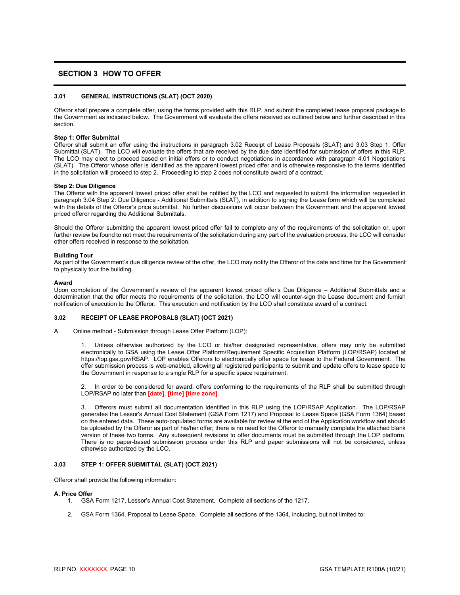# <span id="page-12-0"></span>**SECTION 3 HOW TO OFFER**

# <span id="page-12-1"></span>**3.01 GENERAL INSTRUCTIONS (SLAT) (OCT 2020)**

Offeror shall prepare a complete offer, using the forms provided with this RLP, and submit the completed lease proposal package to the Government as indicated below. The Government will evaluate the offers received as outlined below and further described in this section.

#### **Step 1: Offer Submittal**

Offeror shall submit an offer using the instructions in paragraph 3.02 Receipt of Lease Proposals (SLAT) and 3.03 Step 1: Offer Submittal (SLAT). The LCO will evaluate the offers that are received by the due date identified for submission of offers in this RLP. The LCO may elect to proceed based on initial offers or to conduct negotiations in accordance with paragraph 4.01 Negotiations (SLAT). The Offeror whose offer is identified as the apparent lowest priced offer and is otherwise responsive to the terms identified in the solicitation will proceed to step 2. Proceeding to step 2 does not constitute award of a contract.

#### **Step 2: Due Diligence**

The Offeror with the apparent lowest priced offer shall be notified by the LCO and requested to submit the information requested in paragraph 3.04 Step 2: Due Diligence - Additional Submittals (SLAT), in addition to signing the Lease form which will be completed with the details of the Offeror's price submittal. No further discussions will occur between the Government and the apparent lowest priced offeror regarding the Additional Submittals.

Should the Offeror submitting the apparent lowest priced offer fail to complete any of the requirements of the solicitation or, upon further review be found to not meet the requirements of the solicitation during any part of the evaluation process, the LCO will consider other offers received in response to the solicitation.

#### **Building Tour**

As part of the Government's due diligence review of the offer, the LCO may notify the Offeror of the date and time for the Government to physically tour the building.

#### **Award**

Upon completion of the Government's review of the apparent lowest priced offer's Due Diligence – Additional Submittals and a determination that the offer meets the requirements of the solicitation, the LCO will counter-sign the Lease document and furnish notification of execution to the Offeror. This execution and notification by the LCO shall constitute award of a contract.

#### <span id="page-12-2"></span>**3.02 RECEIPT OF LEASE PROPOSALS (SLAT) (OCT 2021)**

A. Online method - Submission through Lease Offer Platform (LOP):

1. Unless otherwise authorized by the LCO or his/her designated representative, offers may only be submitted electronically to GSA using the Lease Offer Platform/Requirement Specific Acquisition Platform (LOP/RSAP) located at https://lop.gsa.gov/RSAP. LOP enables Offerors to electronically offer space for lease to the Federal Government. The offer submission process is web-enabled, allowing all registered participants to submit and update offers to lease space to the Government in response to a single RLP for a specific space requirement.

2. In order to be considered for award, offers conforming to the requirements of the RLP shall be submitted through LOP/RSAP no later than **[date], [time] [time zone]**.

3. Offerors must submit all documentation identified in this RLP using the LOP/RSAP Application. The LOP/RSAP generates the Lessor's Annual Cost Statement (GSA Form 1217) and Proposal to Lease Space (GSA Form 1364) based on the entered data. These auto-populated forms are available for review at the end of the Application workflow and should be uploaded by the Offeror as part of his/her offer; there is no need for the Offeror to manually complete the attached blank version of these two forms. Any subsequent revisions to offer documents must be submitted through the LOP platform. There is no paper-based submission process under this RLP and paper submissions will not be considered, unless otherwise authorized by the LCO.

# <span id="page-12-3"></span>**3.03 STEP 1: OFFER SUBMITTAL (SLAT) (OCT 2021)**

Offeror shall provide the following information:

#### **A. Price Offer**

- 1. GSA Form 1217, Lessor's Annual Cost Statement. Complete all sections of the 1217.
- 2. GSA Form 1364, Proposal to Lease Space. Complete all sections of the 1364, including, but not limited to: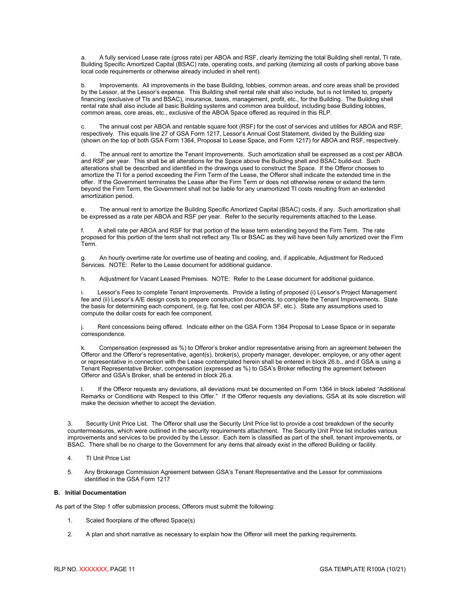a. A fully serviced Lease rate (gross rate) per ABOA and RSF, clearly itemizing the total Building shell rental, TI rate, Building Specific Amortized Capital (BSAC) rate, operating costs, and parking (itemizing all costs of parking above base local code requirements or otherwise already included in shell rent).

b. Improvements. All improvements in the base Building, lobbies, common areas, and core areas shall be provided by the Lessor, at the Lessor's expense. This Building shell rental rate shall also include, but is not limited to, property financing (exclusive of TIs and BSAC), insurance, taxes, management, profit, etc., for the Building. The Building shell rental rate shall also include all basic Building systems and common area buildout, including base Building lobbies, common areas, core areas, etc., exclusive of the ABOA Space offered as required in this RLP.

c. The annual cost per ABOA and rentable square foot (RSF) for the cost of services and utilities for ABOA and RSF, respectively. This equals line 27 of GSA Form 1217, Lessor's Annual Cost Statement, divided by the Building size (shown on the top of both GSA Form 1364, Proposal to Lease Space, and Form 1217) for ABOA and RSF, respectively.

The annual rent to amortize the Tenant Improvements. Such amortization shall be expressed as a cost per ABOA and RSF per year. This shall be all alterations for the Space above the Building shell and BSAC build-out. Such alterations shall be described and identified in the drawings used to construct the Space. If the Offeror chooses to amortize the TI for a period exceeding the Firm Term of the Lease, the Offeror shall indicate the extended time in the offer. If the Government terminates the Lease after the Firm Term or does not otherwise renew or extend the term beyond the Firm Term, the Government shall not be liable for any unamortized TI costs resulting from an extended amortization period.

e. The annual rent to amortize the Building Specific Amortized Capital (BSAC) costs, if any. Such amortization shall be expressed as a rate per ABOA and RSF per year. Refer to the security requirements attached to the Lease.

f. A shell rate per ABOA and RSF for that portion of the lease term extending beyond the Firm Term. The rate proposed for this portion of the term shall not reflect any TIs or BSAC as they will have been fully amortized over the Firm Term.

g. An hourly overtime rate for overtime use of heating and cooling, and, if applicable, Adjustment for Reduced Services. NOTE: Refer to the Lease document for additional guidance.

h. Adjustment for Vacant Leased Premises. NOTE: Refer to the Lease document for additional guidance.

i. Lessor's Fees to complete Tenant Improvements. Provide a listing of proposed (i) Lessor's Project Management fee and (ii) Lessor's A/E design costs to prepare construction documents, to complete the Tenant Improvements. State the basis for determining each component, (e.g. flat fee, cost per ABOA SF, etc.). State any assumptions used to compute the dollar costs for each fee component.

j. Rent concessions being offered. Indicate either on the GSA Form 1364 Proposal to Lease Space or in separate correspondence.

Compensation (expressed as %) to Offeror's broker and/or representative arising from an agreement between the Offeror and the Offeror's representative, agent(s), broker(s), property manager, developer, employee, or any other agent or representative in connection with the Lease contemplated herein shall be entered in block 26.b., and if GSA is using a Tenant Representative Broker, compensation (expressed as %) to GSA's Broker reflecting the agreement between Offeror and GSA's Broker, shall be entered in block 26.a.

l. If the Offeror requests any deviations, all deviations must be documented on Form 1364 in block labeled "Additional Remarks or Conditions with Respect to this Offer." If the Offeror requests any deviations, GSA at its sole discretion will make the decision whether to accept the deviation.

3. Security Unit Price List. The Offeror shall use the Security Unit Price list to provide a cost breakdown of the security countermeasures, which were outlined in the security requirements attachment. The Security Unit Price list includes various improvements and services to be provided by the Lessor. Each item is classified as part of the shell, tenant improvements, or BSAC. There shall be no charge to the Government for any items that already exist in the offered Building or facility.

4. TI Unit Price List

5. Any Brokerage Commission Agreement between GSA's Tenant Representative and the Lessor for commissions identified in the GSA Form 1217

# **B. Initial Documentation**

As part of the Step 1 offer submission process, Offerors must submit the following:

- 1. Scaled floorplans of the offered Space(s)
- 2. A plan and short narrative as necessary to explain how the Offeror will meet the parking requirements.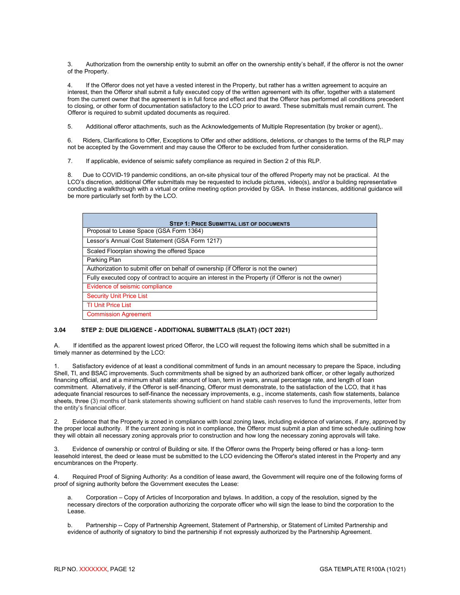3. Authorization from the ownership entity to submit an offer on the ownership entity's behalf, if the offeror is not the owner of the Property.

4. If the Offeror does not yet have a vested interest in the Property, but rather has a written agreement to acquire an interest, then the Offeror shall submit a fully executed copy of the written agreement with its offer, together with a statement from the current owner that the agreement is in full force and effect and that the Offeror has performed all conditions precedent to closing, or other form of documentation satisfactory to the LCO prior to award. These submittals must remain current. The Offeror is required to submit updated documents as required.

5. Additional offeror attachments, such as the Acknowledgements of Multiple Representation (by broker or agent),.

6. Riders, Clarifications to Offer, Exceptions to Offer and other additions, deletions, or changes to the terms of the RLP may not be accepted by the Government and may cause the Offeror to be excluded from further consideration.

7. If applicable, evidence of seismic safety compliance as required in Section 2 of this RLP.

8. Due to COVID-19 pandemic conditions, an on-site physical tour of the offered Property may not be practical. At the LCO's discretion, additional Offer submittals may be requested to include pictures, video(s), and/or a building representative conducting a walkthrough with a virtual or online meeting option provided by GSA. In these instances, additional guidance will be more particularly set forth by the LCO.

| <b>STEP 1: PRICE SUBMITTAL LIST OF DOCUMENTS</b>                                                     |
|------------------------------------------------------------------------------------------------------|
| Proposal to Lease Space (GSA Form 1364)                                                              |
| Lessor's Annual Cost Statement (GSA Form 1217)                                                       |
| Scaled Floorplan showing the offered Space                                                           |
| Parking Plan                                                                                         |
| Authorization to submit offer on behalf of ownership (if Offeror is not the owner)                   |
| Fully executed copy of contract to acquire an interest in the Property (if Offeror is not the owner) |
| Evidence of seismic compliance                                                                       |
| <b>Security Unit Price List</b>                                                                      |
| <b>TI Unit Price List</b>                                                                            |
| <b>Commission Agreement</b>                                                                          |

# <span id="page-14-0"></span>**3.04 STEP 2: DUE DILIGENCE - ADDITIONAL SUBMITTALS (SLAT) (OCT 2021)**

A. If identified as the apparent lowest priced Offeror, the LCO will request the following items which shall be submitted in a timely manner as determined by the LCO:

Satisfactory evidence of at least a conditional commitment of funds in an amount necessary to prepare the Space, including Shell, TI, and BSAC improvements. Such commitments shall be signed by an authorized bank officer, or other legally authorized financing official, and at a minimum shall state: amount of loan, term in years, annual percentage rate, and length of loan commitment. Alternatively, if the Offeror is self-financing, Offeror must demonstrate, to the satisfaction of the LCO, that it has adequate financial resources to self-finance the necessary improvements, e.g., income statements, cash flow statements, balance sheets, three (3) months of bank statements showing sufficient on hand stable cash reserves to fund the improvements, letter from the entity's financial officer.

2. Evidence that the Property is zoned in compliance with local zoning laws, including evidence of variances, if any, approved by the proper local authority. If the current zoning is not in compliance, the Offeror must submit a plan and time schedule outlining how they will obtain all necessary zoning approvals prior to construction and how long the necessary zoning approvals will take.

3. Evidence of ownership or control of Building or site. If the Offeror owns the Property being offered or has a long- term leasehold interest, the deed or lease must be submitted to the LCO evidencing the Offeror's stated interest in the Property and any encumbrances on the Property.

4. Required Proof of Signing Authority: As a condition of lease award, the Government will require one of the following forms of proof of signing authority before the Government executes the Lease:

a. Corporation – Copy of Articles of Incorporation and bylaws. In addition, a copy of the resolution, signed by the necessary directors of the corporation authorizing the corporate officer who will sign the lease to bind the corporation to the Lease.

b. Partnership -- Copy of Partnership Agreement, Statement of Partnership, or Statement of Limited Partnership and evidence of authority of signatory to bind the partnership if not expressly authorized by the Partnership Agreement.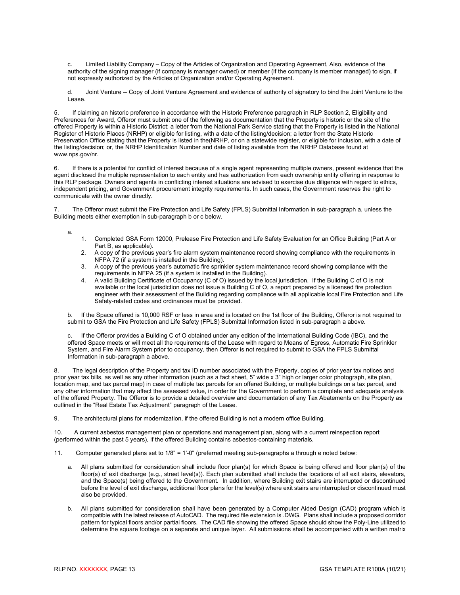c. Limited Liability Company – Copy of the Articles of Organization and Operating Agreement, Also, evidence of the authority of the signing manager (if company is manager owned) or member (if the company is member managed) to sign, if not expressly authorized by the Articles of Organization and/or Operating Agreement.

d. Joint Venture -- Copy of Joint Venture Agreement and evidence of authority of signatory to bind the Joint Venture to the Lease.

If claiming an historic preference in accordance with the Historic Preference paragraph in RLP Section 2, Eligibility and Preferences for Award, Offeror must submit one of the following as documentation that the Property is historic or the site of the offered Property is within a Historic District: a letter from the National Park Service stating that the Property is listed in the National Register of Historic Places (NRHP) or eligible for listing, with a date of the listing/decision; a letter from the State Historic Preservation Office stating that the Property is listed in the(NRHP, or on a statewide register, or eligible for inclusion, with a date of the listing/decision; or, the NRHP Identification Number and date of listing available from the NRHP Database found at www.nps.gov/nr.

6. If there is a potential for conflict of interest because of a single agent representing multiple owners, present evidence that the agent disclosed the multiple representation to each entity and has authorization from each ownership entity offering in response to this RLP package. Owners and agents in conflicting interest situations are advised to exercise due diligence with regard to ethics, independent pricing, and Government procurement integrity requirements. In such cases, the Government reserves the right to communicate with the owner directly.

The Offeror must submit the Fire Protection and Life Safety (FPLS) Submittal Information in sub-paragraph a, unless the Building meets either exemption in sub-paragraph b or c below.

a.

- 1. Completed GSA Form 12000, Prelease Fire Protection and Life Safety Evaluation for an Office Building (Part A or Part B, as applicable).
- 2. A copy of the previous year's fire alarm system maintenance record showing compliance with the requirements in NFPA 72 (if a system is installed in the Building).
- 3. A copy of the previous year's automatic fire sprinkler system maintenance record showing compliance with the requirements in NFPA 25 (if a system is installed in the Building).
- 4. A valid Building Certificate of Occupancy (C of O) issued by the local jurisdiction. If the Building C of O is not available or the local jurisdiction does not issue a Building C of O, a report prepared by a licensed fire protection engineer with their assessment of the Building regarding compliance with all applicable local Fire Protection and Life Safety-related codes and ordinances must be provided.

b. If the Space offered is 10,000 RSF or less in area and is located on the 1st floor of the Building, Offeror is not required to submit to GSA the Fire Protection and Life Safety (FPLS) Submittal Information listed in sub-paragraph a above.

c. If the Offeror provides a Building C of O obtained under any edition of the International Building Code (IBC), and the offered Space meets or will meet all the requirements of the Lease with regard to Means of Egress, Automatic Fire Sprinkler System, and Fire Alarm System prior to occupancy, then Offeror is not required to submit to GSA the FPLS Submittal Information in sub-paragraph a above.

8. The legal description of the Property and tax ID number associated with the Property, copies of prior year tax notices and prior year tax bills, as well as any other information (such as a fact sheet, 5" wide x 3" high or larger color photograph, site plan, location map, and tax parcel map) in case of multiple tax parcels for an offered Building, or multiple buildings on a tax parcel, and any other information that may affect the assessed value, in order for the Government to perform a complete and adequate analysis of the offered Property. The Offeror is to provide a detailed overview and documentation of any Tax Abatements on the Property as outlined in the "Real Estate Tax Adjustment" paragraph of the Lease.

9. The architectural plans for modernization, if the offered Building is not a modern office Building.

10. A current asbestos management plan or operations and management plan, along with a current reinspection report (performed within the past 5 years), if the offered Building contains asbestos-containing materials.

- 11. Computer generated plans set to 1/8" = 1'-0" (preferred meeting sub-paragraphs a through e noted below:
	- a. All plans submitted for consideration shall include floor plan(s) for which Space is being offered and floor plan(s) of the floor(s) of exit discharge (e.g., street level(s)). Each plan submitted shall include the locations of all exit stairs, elevators, and the Space(s) being offered to the Government. In addition, where Building exit stairs are interrupted or discontinued before the level of exit discharge, additional floor plans for the level(s) where exit stairs are interrupted or discontinued must also be provided.
	- b. All plans submitted for consideration shall have been generated by a Computer Aided Design (CAD) program which is compatible with the latest release of AutoCAD. The required file extension is .DWG. Plans shall include a proposed corridor pattern for typical floors and/or partial floors. The CAD file showing the offered Space should show the Poly-Line utilized to determine the square footage on a separate and unique layer. All submissions shall be accompanied with a written matrix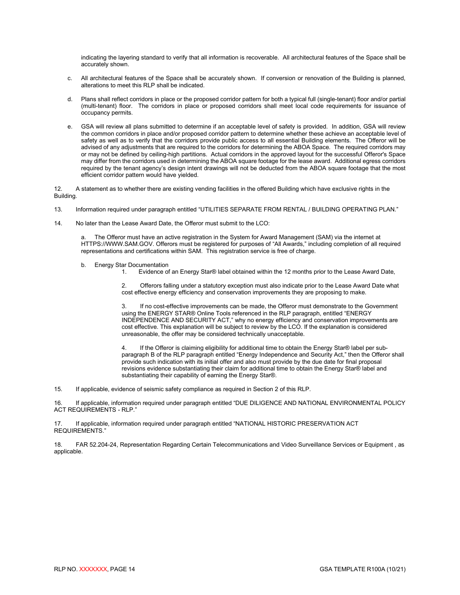indicating the layering standard to verify that all information is recoverable. All architectural features of the Space shall be accurately shown.

- c. All architectural features of the Space shall be accurately shown. If conversion or renovation of the Building is planned, alterations to meet this RLP shall be indicated.
- d. Plans shall reflect corridors in place or the proposed corridor pattern for both a typical full (single-tenant) floor and/or partial (multi-tenant) floor. The corridors in place or proposed corridors shall meet local code requirements for issuance of occupancy permits.
- e. GSA will review all plans submitted to determine if an acceptable level of safety is provided. In addition, GSA will review the common corridors in place and/or proposed corridor pattern to determine whether these achieve an acceptable level of safety as well as to verify that the corridors provide public access to all essential Building elements. The Offeror will be advised of any adjustments that are required to the corridors for determining the ABOA Space. The required corridors may or may not be defined by ceiling-high partitions. Actual corridors in the approved layout for the successful Offeror's Space may differ from the corridors used in determining the ABOA square footage for the lease award. Additional egress corridors required by the tenant agency's design intent drawings will not be deducted from the ABOA square footage that the most efficient corridor pattern would have yielded.

12. A statement as to whether there are existing vending facilities in the offered Building which have exclusive rights in the Building.

- 13. Information required under paragraph entitled "UTILITIES SEPARATE FROM RENTAL / BUILDING OPERATING PLAN."
- 14. No later than the Lease Award Date, the Offeror must submit to the LCO:

The Offeror must have an active registration in the System for Award Management (SAM) via the internet at HTTPS://WWW.SAM.GOV. Offerors must be registered for purposes of "All Awards," including completion of all required representations and certifications within SAM. This registration service is free of charge.

- b. Energy Star Documentation<br>Fyidence of
	- 1. Evidence of an Energy Star® label obtained within the 12 months prior to the Lease Award Date,

2. Offerors falling under a statutory exception must also indicate prior to the Lease Award Date what cost effective energy efficiency and conservation improvements they are proposing to make.

3. If no cost-effective improvements can be made, the Offeror must demonstrate to the Government using the ENERGY STAR® Online Tools referenced in the RLP paragraph, entitled "ENERGY INDEPENDENCE AND SECURITY ACT," why no energy efficiency and conservation improvements are cost effective. This explanation will be subject to review by the LCO. If the explanation is considered unreasonable, the offer may be considered technically unacceptable.

If the Offeror is claiming eligibility for additional time to obtain the Energy Star® label per subparagraph B of the RLP paragraph entitled "Energy Independence and Security Act," then the Offeror shall provide such indication with its initial offer and also must provide by the due date for final proposal revisions evidence substantiating their claim for additional time to obtain the Energy Star® label and substantiating their capability of earning the Energy Star®.

15. If applicable, evidence of seismic safety compliance as required in Section 2 of this RLP.

16. If applicable, information required under paragraph entitled "DUE DILIGENCE AND NATIONAL ENVIRONMENTAL POLICY ACT REQUIREMENTS - RLP."

17. If applicable, information required under paragraph entitled "NATIONAL HISTORIC PRESERVATION ACT REQUIREMENTS."

18. FAR 52.204-24, Representation Regarding Certain Telecommunications and Video Surveillance Services or Equipment , as applicable.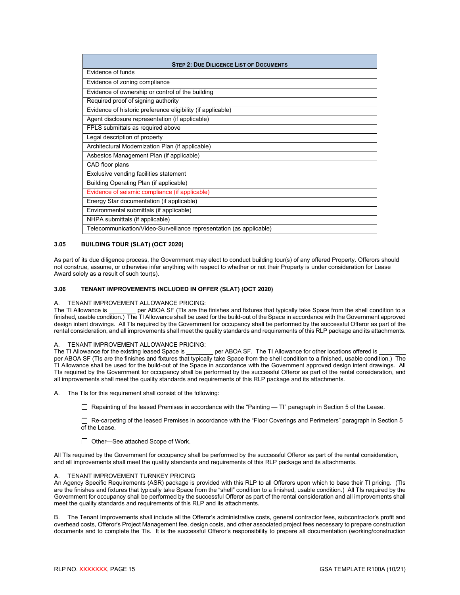| <b>STEP 2: DUE DILIGENCE LIST OF DOCUMENTS</b>                      |  |  |  |  |
|---------------------------------------------------------------------|--|--|--|--|
| Evidence of funds                                                   |  |  |  |  |
| Evidence of zoning compliance                                       |  |  |  |  |
| Evidence of ownership or control of the building                    |  |  |  |  |
| Required proof of signing authority                                 |  |  |  |  |
| Evidence of historic preference eligibility (if applicable)         |  |  |  |  |
| Agent disclosure representation (if applicable)                     |  |  |  |  |
| FPLS submittals as required above                                   |  |  |  |  |
| Legal description of property                                       |  |  |  |  |
| Architectural Modernization Plan (if applicable)                    |  |  |  |  |
| Asbestos Management Plan (if applicable)                            |  |  |  |  |
| CAD floor plans                                                     |  |  |  |  |
| Exclusive vending facilities statement                              |  |  |  |  |
| Building Operating Plan (if applicable)                             |  |  |  |  |
| Evidence of seismic compliance (if applicable)                      |  |  |  |  |
| Energy Star documentation (if applicable)                           |  |  |  |  |
| Environmental submittals (if applicable)                            |  |  |  |  |
| NHPA submittals (if applicable)                                     |  |  |  |  |
| Telecommunication/Video-Surveillance representation (as applicable) |  |  |  |  |

# <span id="page-17-0"></span>**3.05 BUILDING TOUR (SLAT) (OCT 2020)**

As part of its due diligence process, the Government may elect to conduct building tour(s) of any offered Property. Offerors should not construe, assume, or otherwise infer anything with respect to whether or not their Property is under consideration for Lease Award solely as a result of such tour(s).

# <span id="page-17-1"></span>**3.06 TENANT IMPROVEMENTS INCLUDED IN OFFER (SLAT) (OCT 2020)**

# A. TENANT IMPROVEMENT ALLOWANCE PRICING:

 $\_$  per ABOA SF (TIs are the finishes and fixtures that typically take Space from the shell condition to a finished, usable condition.) The TI Allowance shall be used for the build-out of the Space in accordance with the Government approved design intent drawings. All TIs required by the Government for occupancy shall be performed by the successful Offeror as part of the rental consideration, and all improvements shall meet the quality standards and requirements of this RLP package and its attachments.

# A. TENANT IMPROVEMENT ALLOWANCE PRICING:<br>The TI Allowance for the existing leased Space is

per ABOA SF. The TI Allowance for other locations offered is per ABOA SF (TIs are the finishes and fixtures that typically take Space from the shell condition to a finished, usable condition.) The TI Allowance shall be used for the build-out of the Space in accordance with the Government approved design intent drawings. All TIs required by the Government for occupancy shall be performed by the successful Offeror as part of the rental consideration, and all improvements shall meet the quality standards and requirements of this RLP package and its attachments.

A. The TIs for this requirement shall consist of the following:

Repainting of the leased Premises in accordance with the "Painting — TI" paragraph in Section 5 of the Lease.

 Re-carpeting of the leased Premises in accordance with the "Floor Coverings and Perimeters" paragraph in Section 5 of the Lease.

□ Other—See attached Scope of Work.

All TIs required by the Government for occupancy shall be performed by the successful Offeror as part of the rental consideration, and all improvements shall meet the quality standards and requirements of this RLP package and its attachments.

# TENANT IMPROVEMENT TURNKEY PRICING

An Agency Specific Requirements (ASR) package is provided with this RLP to all Offerors upon which to base their TI pricing. (TIs are the finishes and fixtures that typically take Space from the "shell" condition to a finished, usable condition.) All TIs required by the Government for occupancy shall be performed by the successful Offeror as part of the rental consideration and all improvements shall meet the quality standards and requirements of this RLP and its attachments.

B.The Tenant Improvements shall include all the Offeror's administrative costs, general contractor fees, subcontractor's profit and overhead costs, Offeror's Project Management fee, design costs, and other associated project fees necessary to prepare construction documents and to complete the TIs. It is the successful Offeror's responsibility to prepare all documentation (working/construction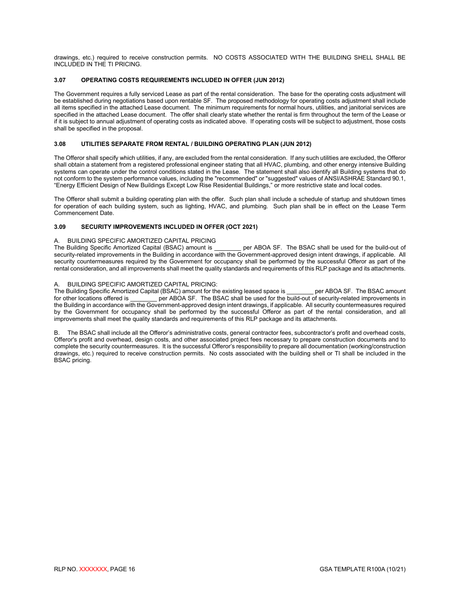drawings, etc.) required to receive construction permits. NO COSTS ASSOCIATED WITH THE BUILDING SHELL SHALL BE INCLUDED IN THE TI PRICING.

# <span id="page-18-0"></span>**3.07 OPERATING COSTS REQUIREMENTS INCLUDED IN OFFER (JUN 2012)**

The Government requires a fully serviced Lease as part of the rental consideration. The base for the operating costs adjustment will be established during negotiations based upon rentable SF. The proposed methodology for operating costs adjustment shall include all items specified in the attached Lease document. The minimum requirements for normal hours, utilities, and janitorial services are specified in the attached Lease document. The offer shall clearly state whether the rental is firm throughout the term of the Lease or if it is subject to annual adjustment of operating costs as indicated above. If operating costs will be subject to adjustment, those costs shall be specified in the proposal.

#### <span id="page-18-1"></span>**3.08 UTILITIES SEPARATE FROM RENTAL / BUILDING OPERATING PLAN (JUN 2012)**

The Offeror shall specify which utilities, if any, are excluded from the rental consideration. If any such utilities are excluded, the Offeror shall obtain a statement from a registered professional engineer stating that all HVAC, plumbing, and other energy intensive Building systems can operate under the control conditions stated in the Lease. The statement shall also identify all Building systems that do not conform to the system performance values, including the "recommended" or "suggested" values of ANSI/ASHRAE Standard 90.1, "Energy Efficient Design of New Buildings Except Low Rise Residential Buildings," or more restrictive state and local codes.

The Offeror shall submit a building operating plan with the offer. Such plan shall include a schedule of startup and shutdown times for operation of each building system, such as lighting, HVAC, and plumbing. Such plan shall be in effect on the Lease Term Commencement Date.

# <span id="page-18-2"></span>**3.09 SECURITY IMPROVEMENTS INCLUDED IN OFFER (OCT 2021)**

# A. BUILDING SPECIFIC AMORTIZED CAPITAL PRICING<br>The Building Specific Amortized Capital (BSAC) amount is

per ABOA SF. The BSAC shall be used for the build-out of security-related improvements in the Building in accordance with the Government-approved design intent drawings, if applicable. All security countermeasures required by the Government for occupancy shall be performed by the successful Offeror as part of the rental consideration, and all improvements shall meet the quality standards and requirements of this RLP package and its attachments.

#### A. BUILDING SPECIFIC AMORTIZED CAPITAL PRICING:

The Building Specific Amortized Capital (BSAC) amount for the existing leased space is \_\_\_\_\_\_\_ per ABOA SF. The BSAC amount for other locations offered is \_\_\_\_\_\_\_ per ABOA SF. The BSAC shall be used for the build-out of se for other locations offered is \_\_\_\_\_\_\_\_ per ABOA SF. The BSAC shall be used for the build-out of security-related improvements in the Building in accordance with the Government-approved design intent drawings, if applicable. All security countermeasures required by the Government for occupancy shall be performed by the successful Offeror as part of the rental consideration, and all improvements shall meet the quality standards and requirements of this RLP package and its attachments.

B. The BSAC shall include all the Offeror's administrative costs, general contractor fees, subcontractor's profit and overhead costs, Offeror's profit and overhead, design costs, and other associated project fees necessary to prepare construction documents and to complete the security countermeasures. It is the successful Offeror's responsibility to prepare all documentation (working/construction drawings, etc.) required to receive construction permits. No costs associated with the building shell or TI shall be included in the BSAC pricing.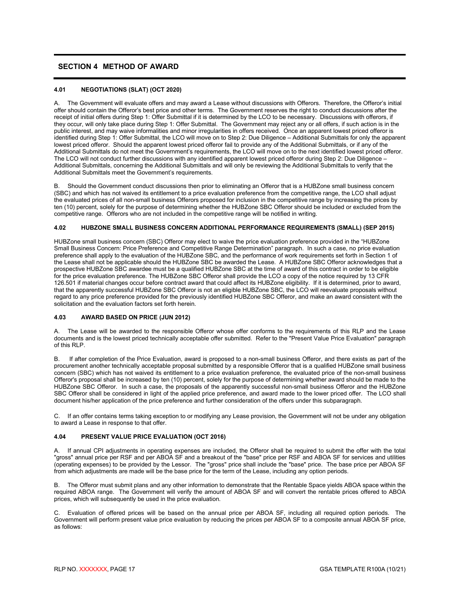# <span id="page-19-0"></span>**SECTION 4 METHOD OF AWARD**

# <span id="page-19-1"></span>**4.01 NEGOTIATIONS (SLAT) (OCT 2020)**

A. The Government will evaluate offers and may award a Lease without discussions with Offerors. Therefore, the Offeror's initial offer should contain the Offeror's best price and other terms. The Government reserves the right to conduct discussions after the receipt of initial offers during Step 1: Offer Submittal if it is determined by the LCO to be necessary. Discussions with offerors, if they occur, will only take place during Step 1: Offer Submittal. The Government may reject any or all offers, if such action is in the public interest, and may waive informalities and minor irregularities in offers received. Once an apparent lowest priced offeror is identified during Step 1: Offer Submittal, the LCO will move on to Step 2: Due Diligence – Additional Submittals for only the apparent lowest priced offeror. Should the apparent lowest priced offeror fail to provide any of the Additional Submittals, or if any of the Additional Submittals do not meet the Government's requirements, the LCO will move on to the next identified lowest priced offeror. The LCO will not conduct further discussions with any identified apparent lowest priced offeror during Step 2: Due Diligence – Additional Submittals, concerning the Additional Submittals and will only be reviewing the Additional Submittals to verify that the Additional Submittals meet the Government's requirements.

B. Should the Government conduct discussions then prior to eliminating an Offeror that is a HUBZone small business concern (SBC) and which has not waived its entitlement to a price evaluation preference from the competitive range, the LCO shall adjust the evaluated prices of all non-small business Offerors proposed for inclusion in the competitive range by increasing the prices by ten (10) percent, solely for the purpose of determining whether the HUBZone SBC Offeror should be included or excluded from the competitive range. Offerors who are not included in the competitive range will be notified in writing.

# <span id="page-19-2"></span>**4.02 HUBZONE SMALL BUSINESS CONCERN ADDITIONAL PERFORMANCE REQUIREMENTS (SMALL) (SEP 2015)**

HUBZone small business concern (SBC) Offeror may elect to waive the price evaluation preference provided in the "HUBZone Small Business Concern: Price Preference and Competitive Range Determination" paragraph. In such a case, no price evaluation preference shall apply to the evaluation of the HUBZone SBC, and the performance of work requirements set forth in Section 1 of the Lease shall not be applicable should the HUBZone SBC be awarded the Lease. A HUBZone SBC Offeror acknowledges that a prospective HUBZone SBC awardee must be a qualified HUBZone SBC at the time of award of this contract in order to be eligible for the price evaluation preference. The HUBZone SBC Offeror shall provide the LCO a copy of the notice required by 13 CFR 126.501 if material changes occur before contract award that could affect its HUBZone eligibility. If it is determined, prior to award, that the apparently successful HUBZone SBC Offeror is not an eligible HUBZone SBC, the LCO will reevaluate proposals without regard to any price preference provided for the previously identified HUBZone SBC Offeror, and make an award consistent with the solicitation and the evaluation factors set forth herein.

# <span id="page-19-3"></span>**4.03 AWARD BASED ON PRICE (JUN 2012)**

A. The Lease will be awarded to the responsible Offeror whose offer conforms to the requirements of this RLP and the Lease documents and is the lowest priced technically acceptable offer submitted. Refer to the "Present Value Price Evaluation" paragraph of this RLP.

B. If after completion of the Price Evaluation, award is proposed to a non-small business Offeror, and there exists as part of the procurement another technically acceptable proposal submitted by a responsible Offeror that is a qualified HUBZone small business concern (SBC) which has not waived its entitlement to a price evaluation preference, the evaluated price of the non-small business Offeror's proposal shall be increased by ten (10) percent, solely for the purpose of determining whether award should be made to the HUBZone SBC Offeror. In such a case, the proposals of the apparently successful non-small business Offeror and the HUBZone SBC Offeror shall be considered in light of the applied price preference, and award made to the lower priced offer. The LCO shall document his/her application of the price preference and further consideration of the offers under this subparagraph.

C. If an offer contains terms taking exception to or modifying any Lease provision, the Government will not be under any obligation to award a Lease in response to that offer.

# <span id="page-19-4"></span>**4.04 PRESENT VALUE PRICE EVALUATION (OCT 2016)**

A. If annual CPI adjustments in operating expenses are included, the Offeror shall be required to submit the offer with the total "gross" annual price per RSF and per ABOA SF and a breakout of the "base" price per RSF and ABOA SF for services and utilities (operating expenses) to be provided by the Lessor. The "gross" price shall include the "base" price. The base price per ABOA SF from which adjustments are made will be the base price for the term of the Lease, including any option periods.

B. The Offeror must submit plans and any other information to demonstrate that the Rentable Space yields ABOA space within the required ABOA range. The Government will verify the amount of ABOA SF and will convert the rentable prices offered to ABOA prices, which will subsequently be used in the price evaluation.

C. Evaluation of offered prices will be based on the annual price per ABOA SF, including all required option periods. The Government will perform present value price evaluation by reducing the prices per ABOA SF to a composite annual ABOA SF price, as follows: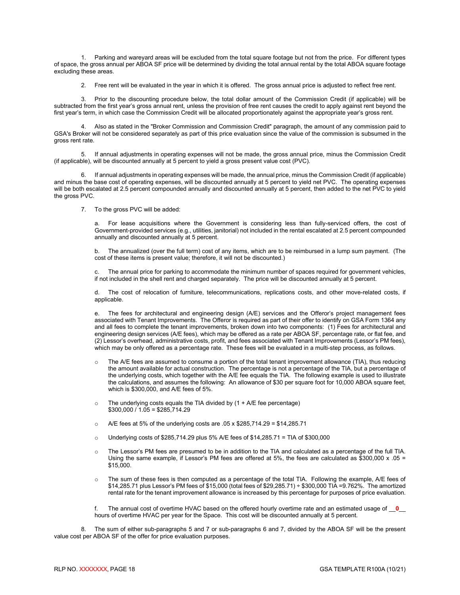1. Parking and wareyard areas will be excluded from the total square footage but not from the price. For different types of space, the gross annual per ABOA SF price will be determined by dividing the total annual rental by the total ABOA square footage excluding these areas.

2. Free rent will be evaluated in the year in which it is offered. The gross annual price is adjusted to reflect free rent.

3. Prior to the discounting procedure below, the total dollar amount of the Commission Credit (if applicable) will be subtracted from the first year's gross annual rent, unless the provision of free rent causes the credit to apply against rent beyond the first year's term, in which case the Commission Credit will be allocated proportionately against the appropriate year's gross rent.

4. Also as stated in the "Broker Commission and Commission Credit" paragraph, the amount of any commission paid to GSA's Broker will not be considered separately as part of this price evaluation since the value of the commission is subsumed in the gross rent rate.

5. If annual adjustments in operating expenses will not be made, the gross annual price, minus the Commission Credit (if applicable), will be discounted annually at 5 percent to yield a gross present value cost (PVC).

6. If annual adjustments in operating expenses will be made, the annual price, minus the Commission Credit (if applicable) and minus the base cost of operating expenses, will be discounted annually at 5 percent to yield net PVC. The operating expenses will be both escalated at 2.5 percent compounded annually and discounted annually at 5 percent, then added to the net PVC to yield the gross PVC.

7. To the gross PVC will be added:

a. For lease acquisitions where the Government is considering less than fully-serviced offers, the cost of Government-provided services (e.g., utilities, janitorial) not included in the rental escalated at 2.5 percent compounded annually and discounted annually at 5 percent.

b. The annualized (over the full term) cost of any items, which are to be reimbursed in a lump sum payment. (The cost of these items is present value; therefore, it will not be discounted.)

The annual price for parking to accommodate the minimum number of spaces required for government vehicles, if not included in the shell rent and charged separately. The price will be discounted annually at 5 percent.

d. The cost of relocation of furniture, telecommunications, replications costs, and other move-related costs, if applicable.

e. The fees for architectural and engineering design (A/E) services and the Offeror's project management fees associated with Tenant Improvements. The Offeror is required as part of their offer to identify on GSA Form 1364 any and all fees to complete the tenant improvements, broken down into two components: (1) Fees for architectural and engineering design services (A/E fees), which may be offered as a rate per ABOA SF, percentage rate, or flat fee, and (2) Lessor's overhead, administrative costs, profit, and fees associated with Tenant Improvements (Lessor's PM fees), which may be only offered as a percentage rate. These fees will be evaluated in a multi-step process, as follows.

- o The A/E fees are assumed to consume a portion of the total tenant improvement allowance (TIA), thus reducing the amount available for actual construction. The percentage is not a percentage of the TIA, but a percentage of the underlying costs, which together with the A/E fee equals the TIA. The following example is used to illustrate the calculations, and assumes the following: An allowance of \$30 per square foot for 10,000 ABOA square feet, which is \$300,000, and A/E fees of 5%.
- $\circ$  The underlying costs equals the TIA divided by (1 + A/E fee percentage)  $$300,000 / 1.05 = $285,714.29$
- $\circ$  A/E fees at 5% of the underlying costs are .05 x \$285,714.29 = \$14,285.71
- o Underlying costs of \$285,714.29 plus 5% A/E fees of \$14,285.71 = TIA of \$300,000
- $\circ$  The Lessor's PM fees are presumed to be in addition to the TIA and calculated as a percentage of the full TIA. Using the same example, if Lessor's PM fees are offered at 5%, the fees are calculated as  $$300,000 \times .05 =$ \$15,000.
- o The sum of these fees is then computed as a percentage of the total TIA. Following the example, A/E fees of \$14,285.71 plus Lessor's PM fees of \$15,000 (total fees of \$29,285.71) ÷ \$300,000 TIA =9.762%. The amortized rental rate for the tenant improvement allowance is increased by this percentage for purposes of price evaluation.

f. The annual cost of overtime HVAC based on the offered hourly overtime rate and an estimated usage of \_\_**0**\_\_ hours of overtime HVAC per year for the Space. This cost will be discounted annually at 5 percent.

8. The sum of either sub-paragraphs 5 and 7 or sub-paragraphs 6 and 7, divided by the ABOA SF will be the present value cost per ABOA SF of the offer for price evaluation purposes.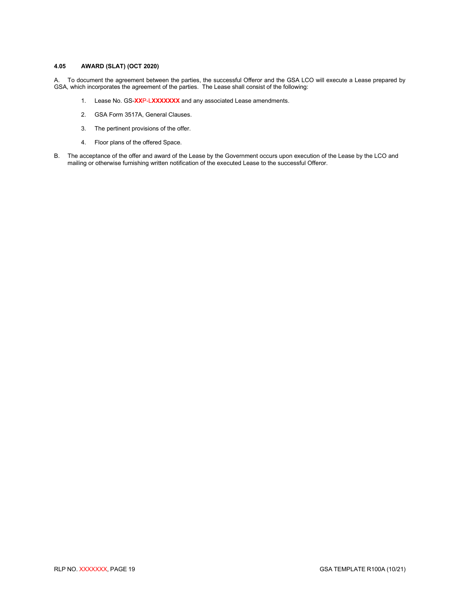# <span id="page-21-0"></span>**4.05 AWARD (SLAT) (OCT 2020)**

A. To document the agreement between the parties, the successful Offeror and the GSA LCO will execute a Lease prepared by GSA, which incorporates the agreement of the parties. The Lease shall consist of the following:

- 1. Lease No. GS-**XX**P-L**XXXXXXX** and any associated Lease amendments.
- 2. GSA Form 3517A, General Clauses.
- 3. The pertinent provisions of the offer.
- 4. Floor plans of the offered Space.
- B. The acceptance of the offer and award of the Lease by the Government occurs upon execution of the Lease by the LCO and mailing or otherwise furnishing written notification of the executed Lease to the successful Offeror.